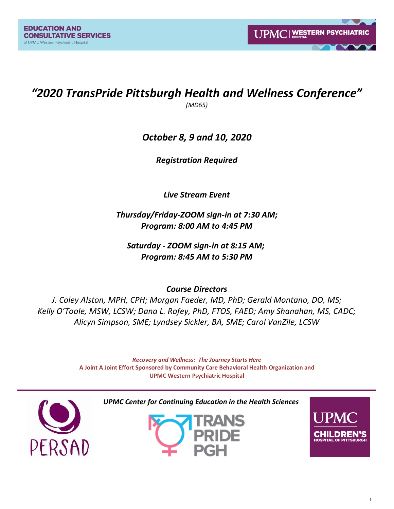# *"2020 TransPride Pittsburgh Health and Wellness Conference"*

*(MD65)*

# *October 8, 9 and 10, 2020*

*Registration Required*

*Live Stream Event*

*Thursday/Friday-ZOOM sign-in at 7:30 AM; Program: 8:00 AM to 4:45 PM*

*Saturday - ZOOM sign-in at 8:15 AM; Program: 8:45 AM to 5:30 PM*

*Course Directors*

*J. Coley Alston, MPH, CPH; Morgan Faeder, MD, PhD; Gerald Montano, DO, MS; Kelly O'Toole, MSW, LCSW; Dana L. Rofey, PhD, FTOS, FAED; Amy Shanahan, MS, CADC; Alicyn Simpson, SME; Lyndsey Sickler, BA, SME; Carol VanZile, LCSW* 

> *Recovery and Wellness: The Journey Starts Here* **A Joint A Joint Effort Sponsored by Community Care Behavioral Health Organization and UPMC Western Psychiatric Hospital**



*UPMC Center for Continuing Education in the Health Sciences*



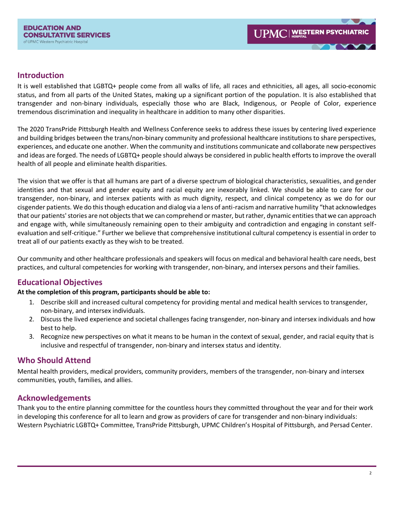## **Introduction**

It is well established that LGBTQ+ people come from all walks of life, all races and ethnicities, all ages, all socio-economic status, and from all parts of the United States, making up a significant portion of the population. It is also established that transgender and non-binary individuals, especially those who are Black, Indigenous, or People of Color, experience tremendous discrimination and inequality in healthcare in addition to many other disparities.

The 2020 TransPride Pittsburgh Health and Wellness Conference seeks to address these issues by centering lived experience and building bridges between the trans/non-binary community and professional healthcare institutions to share perspectives, experiences, and educate one another. When the community and institutions communicate and collaborate new perspectives and ideas are forged. The needs of LGBTQ+ people should always be considered in public health efforts to improve the overall health of all people and eliminate health disparities.

The vision that we offer is that all humans are part of a diverse spectrum of biological characteristics, sexualities, and gender identities and that sexual and gender equity and racial equity are inexorably linked. We should be able to care for our transgender, non-binary, and intersex patients with as much dignity, respect, and clinical competency as we do for our cisgender patients. We do this though education and dialog via a lens of anti-racism and narrative humility "that acknowledges that our patients' stories are not objects that we can comprehend or master, but rather, dynamic entities that we can approach and engage with, while simultaneously remaining open to their ambiguity and contradiction and engaging in constant selfevaluation and self-critique." Further we believe that comprehensive institutional cultural competency is essential in order to treat all of our patients exactly as they wish to be treated.

Our community and other healthcare professionals and speakers will focus on medical and behavioral health care needs, best practices, and cultural competencies for working with transgender, non-binary, and intersex persons and their families.

# **Educational Objectives**

### **At the completion of this program, participants should be able to:**

- 1. Describe skill and increased cultural competency for providing mental and medical health services to transgender, non-binary, and intersex individuals.
- 2. Discuss the lived experience and societal challenges facing transgender, non-binary and intersex individuals and how best to help.
- 3. Recognize new perspectives on what it means to be human in the context of sexual, gender, and racial equity that is inclusive and respectful of transgender, non-binary and intersex status and identity.

# **Who Should Attend**

Mental health providers, medical providers, community providers, members of the transgender, non-binary and intersex communities, youth, families, and allies.

# **Acknowledgements**

Thank you to the entire planning committee for the countless hours they committed throughout the year and for their work in developing this conference for all to learn and grow as providers of care for transgender and non-binary individuals: Western Psychiatric LGBTQ+ Committee, TransPride Pittsburgh, UPMC Children's Hospital of Pittsburgh, and Persad Center.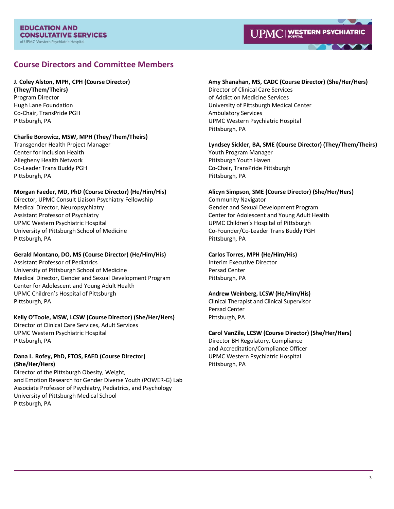## **Course Directors and Committee Members**

### **J. Coley Alston, MPH, CPH (Course Director)**

**(They/Them/Theirs)** Program Director Hugh Lane Foundation Co-Chair, TransPride PGH Pittsburgh, PA

### **Charlie Borowicz, MSW, MPH (They/Them/Theirs)**

Transgender Health Project Manager Center for Inclusion Health Allegheny Health Network Co-Leader Trans Buddy PGH Pittsburgh, PA

### **Morgan Faeder, MD, PhD (Course Director) (He/Him/His)**

Director, UPMC Consult Liaison Psychiatry Fellowship Medical Director, Neuropsychiatry Assistant Professor of Psychiatry UPMC Western Psychiatric Hospital University of Pittsburgh School of Medicine Pittsburgh, PA

### **Gerald Montano, DO, MS (Course Director) (He/Him/His)**

Assistant Professor of Pediatrics University of Pittsburgh School of Medicine Medical Director, Gender and Sexual Development Program Center for Adolescent and Young Adult Health UPMC Children's Hospital of Pittsburgh Pittsburgh, PA

### **Kelly O'Toole, MSW, LCSW (Course Director) (She/Her/Hers)**

Director of Clinical Care Services, Adult Services UPMC Western Psychiatric Hospital Pittsburgh, PA

### **Dana L. Rofey, PhD, FTOS, FAED (Course Director) (She/Her/Hers)**

Director of the Pittsburgh Obesity, Weight, and Emotion Research for Gender Diverse Youth (POWER-G) Lab Associate Professor of Psychiatry, Pediatrics, and Psychology University of Pittsburgh Medical School Pittsburgh, PA

### **Amy Shanahan, MS, CADC (Course Director) (She/Her/Hers)**

Director of Clinical Care Services of Addiction Medicine Services University of Pittsburgh Medical Center Ambulatory Services UPMC Western Psychiatric Hospital Pittsburgh, PA

### **Lyndsey Sickler, BA, SME (Course Director) (They/Them/Theirs)**

Youth Program Manager Pittsburgh Youth Haven Co-Chair, TransPride Pittsburgh Pittsburgh, PA

# **Alicyn Simpson, SME (Course Director) (She/Her/Hers)**

Community Navigator Gender and Sexual Development Program Center for Adolescent and Young Adult Health UPMC Children's Hospital of Pittsburgh Co-Founder/Co-Leader Trans Buddy PGH Pittsburgh, PA

### **Carlos Torres, MPH (He/Him/His)**

Interim Executive Director Persad Center Pittsburgh, PA

### **Andrew Weinberg, LCSW (He/Him/His)**

Clinical Therapist and Clinical Supervisor Persad Center Pittsburgh, PA

### **Carol VanZile, LCSW (Course Director) (She/Her/Hers)**

Director BH Regulatory, Compliance and Accreditation/Compliance Officer UPMC Western Psychiatric Hospital Pittsburgh, PA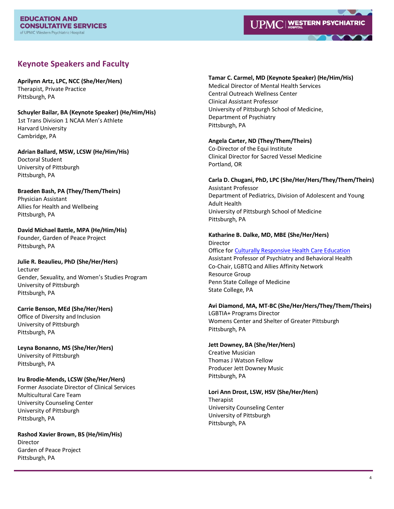

# **Keynote Speakers and Faculty**

**Aprilynn Artz, LPC, NCC (She/Her/Hers)** Therapist, Private Practice Pittsburgh, PA

**Schuyler Bailar, BA (Keynote Speaker) (He/Him/His)** 1st Trans Division 1 NCAA Men's Athlete Harvard University Cambridge, PA

**Adrian Ballard, MSW, LCSW (He/Him/His)** Doctoral Student University of Pittsburgh Pittsburgh, PA

**Braeden Bash, PA (They/Them/Theirs)** Physician Assistant Allies for Health and Wellbeing Pittsburgh, PA

**David Michael Battle, MPA (He/Him/His)** Founder, Garden of Peace Project Pittsburgh, PA

**Julie R. Beaulieu, PhD (She/Her/Hers)** Lecturer Gender, Sexuality, and Women's Studies Program University of Pittsburgh Pittsburgh, PA

**Carrie Benson, MEd (She/Her/Hers)** Office of Diversity and Inclusion University of Pittsburgh Pittsburgh, PA

**Leyna Bonanno, MS (She/Her/Hers)** University of Pittsburgh Pittsburgh, PA

**Iru Brodie-Mends, LCSW (She/Her/Hers)** Former Associate Director of Clinical Services Multicultural Care Team University Counseling Center University of Pittsburgh

**Rashod Xavier Brown, BS (He/Him/His)** Director Garden of Peace Project Pittsburgh, PA

Pittsburgh, PA

#### **Tamar C. Carmel, MD (Keynote Speaker) (He/Him/His)**

Medical Director of Mental Health Services Central Outreach Wellness Center Clinical Assistant Professor University of Pittsburgh School of Medicine, Department of Psychiatry Pittsburgh, PA

#### **Angela Carter, ND (They/Them/Theirs)**

Co-Director of the Equi Institute Clinical Director for Sacred Vessel Medicine Portland, OR

**Carla D. Chugani, PhD, LPC (She/Her/Hers/They/Them/Theirs)** Assistant Professor Department of Pediatrics, Division of Adolescent and Young Adult Health

University of Pittsburgh School of Medicine Pittsburgh, PA

**Katharine B. Dalke, MD, MBE (She/Her/Hers)** Director

Office fo[r Culturally Responsive Health Care Education](https://students.med.psu.edu/culture) Assistant Professor of Psychiatry and Behavioral Health Co-Chair, LGBTQ and Allies Affinity Network Resource Group Penn State College of Medicine State College, PA

### **Avi Diamond, MA, MT-BC (She/Her/Hers/They/Them/Theirs)**

LGBTIA+ Programs Director Womens Center and Shelter of Greater Pittsburgh Pittsburgh, PA

**Jett Downey, BA (She/Her/Hers)**

Creative Musician Thomas J Watson Fellow Producer Jett Downey Music Pittsburgh, PA

**Lori Ann Drost, LSW, HSV (She/Her/Hers)** Therapist University Counseling Center University of Pittsburgh

Pittsburgh, PA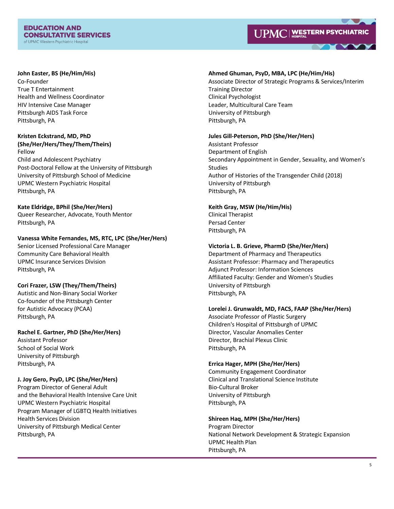#### **EDUCATION AND CONSULTATIVE SERVICES** of UPMC Western Psychiatric Hospital



#### **John Easter, BS (He/Him/His)**

Co-Founder True T Entertainment Health and Wellness Coordinator HIV Intensive Case Manager Pittsburgh AIDS Task Force Pittsburgh, PA

#### **Kristen Eckstrand, MD, PhD (She/Her/Hers/They/Them/Theirs)** Fellow

Child and Adolescent Psychiatry Post-Doctoral Fellow at the University of Pittsburgh University of Pittsburgh School of Medicine UPMC Western Psychiatric Hospital Pittsburgh, PA

## **Kate Eldridge, BPhil (She/Her/Hers)**

Queer Researcher, Advocate, Youth Mentor Pittsburgh, PA

### **Vanessa White Fernandes, MS, RTC, LPC (She/Her/Hers)**

Senior Licensed Professional Care Manager Community Care Behavioral Health UPMC Insurance Services Division Pittsburgh, PA

### **Cori Frazer, LSW (They/Them/Theirs)**

Autistic and Non-Binary Social Worker Co-founder of the Pittsburgh Center for Autistic Advocacy (PCAA) Pittsburgh, PA

### **Rachel E. Gartner, PhD (She/Her/Hers)**

Assistant Professor School of Social Work University of Pittsburgh Pittsburgh, PA

### **J. Joy Gero, PsyD, LPC (She/Her/Hers)**

Program Director of General Adult and the Behavioral Health Intensive Care Unit UPMC Western Psychiatric Hospital Program Manager of LGBTQ Health Initiatives Health Services Division University of Pittsburgh Medical Center Pittsburgh, PA

#### **Ahmed Ghuman, PsyD, MBA, LPC (He/Him/His)**

Associate Director of Strategic Programs & Services/Interim Training Director Clinical Psychologist Leader, Multicultural Care Team University of Pittsburgh Pittsburgh, PA

#### **Jules Gill-Peterson, PhD (She/Her/Hers)**

Assistant Professor Department of English Secondary Appointment in Gender, Sexuality, and Women's Studies Author of Histories of the Transgender Child (2018) University of Pittsburgh Pittsburgh, PA

#### **Keith Gray, MSW (He/Him/His)**

Clinical Therapist Persad Center Pittsburgh, PA

### **Victoria L. B. Grieve, PharmD (She/Her/Hers)**

Department of Pharmacy and Therapeutics Assistant Professor: Pharmacy and Therapeutics Adjunct Professor: Information Sciences Affiliated Faculty: Gender and Women's Studies University of Pittsburgh Pittsburgh, PA

### **Lorelei J. Grunwaldt, MD, FACS, FAAP (She/Her/Hers)**

Associate Professor of Plastic Surgery Children's Hospital of Pittsburgh of UPMC Director, Vascular Anomalies Center Director, Brachial Plexus Clinic Pittsburgh, PA

### **Errica Hager, MPH (She/Her/Hers)**

Community Engagement Coordinator Clinical and Translational Science Institute Bio-Cultural Broker University of Pittsburgh Pittsburgh, PA

#### **Shireen Haq, MPH (She/Her/Hers)**

Program Director National Network Development & Strategic Expansion UPMC Health Plan Pittsburgh, PA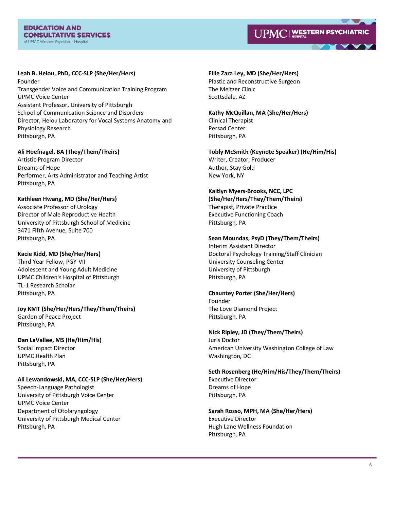

**Leah B. Helou, PhD, CCC-SLP (She/Her/Hers)** Founder Transgender Voice and Communication Training Program UPMC Voice Center Assistant Professor, University of Pittsburgh School of Communication Science and Disorders Director, Helou Laboratory for Vocal Systems Anatomy and Physiology Research Pittsburgh, PA

### **Ali Hoefnagel, BA (They/Them/Theirs)**

Artistic Program Director Dreams of Hope Performer, Arts Administrator and Teaching Artist Pittsburgh, PA

#### **Kathleen Hwang, MD (She/Her/Hers)**

Associate Professor of Urology Director of Male Reproductive Health University of Pittsburgh School of Medicine 3471 Fifth Avenue, Suite 700 Pittsburgh, PA

#### **Kacie Kidd, MD (She/Her/Hers)**

Third Year Fellow, PGY-VII Adolescent and Young Adult Medicine UPMC Children's Hospital of Pittsburgh TL-1 Research Scholar Pittsburgh, PA

**Joy KMT (She/Her/Hers/They/Them/Theirs)** Garden of Peace Project Pittsburgh, PA

# **Dan LaVallee, MS (He/Him/His)**

Social Impact Director UPMC Health Plan Pittsburgh, PA

### **Ali Lewandowski, MA, CCC-SLP (She/Her/Hers)**

Speech-Language Pathologist University of Pittsburgh Voice Center UPMC Voice Center Department of Otolaryngology University of Pittsburgh Medical Center Pittsburgh, PA

**Ellie Zara Ley, MD (She/Her/Hers)** Plastic and Reconstructive Surgeon The Meltzer Clinic

Scottsdale, AZ

**Kathy McQuillan, MA (She/Her/Hers)** Clinical Therapist Persad Center Pittsburgh, PA

**Tobly McSmith (Keynote Speaker) (He/Him/His)** Writer, Creator, Producer Author, Stay Gold New York, NY

**Kaitlyn Myers-Brooks, NCC, LPC (She/Her/Hers/They/Them/Theirs)** Therapist, Private Practice

Executive Functioning Coach Pittsburgh, PA

### **Sean Moundas, PsyD (They/Them/Theirs)**

Interim Assistant Director Doctoral Psychology Training/Staff Clinician University Counseling Center University of Pittsburgh Pittsburgh, PA

### **Chauntey Porter (She/Her/Hers)**

Founder The Love Diamond Project Pittsburgh, PA

### **Nick Ripley, JD (They/Them/Theirs)**

Juris Doctor American University Washington College of Law Washington, DC

**Seth Rosenberg (He/Him/His/They/Them/Theirs)** Executive Director Dreams of Hope Pittsburgh, PA

**Sarah Rosso, MPH, MA (She/Her/Hers)** Executive Director Hugh Lane Wellness Foundation Pittsburgh, PA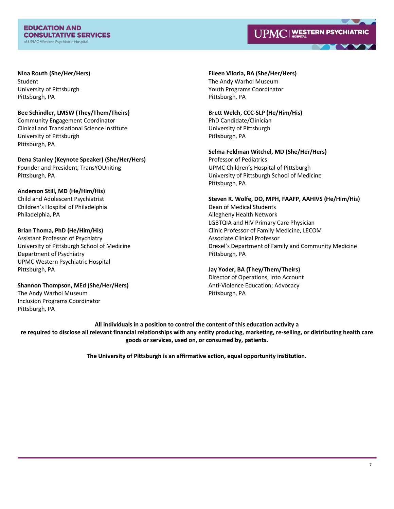#### **EDUCATION AND CONSULTATIVE SERVICES** of UPMC Western Psychiatric Hospital

# UPMC | WESTERN PSYCHIATRIC

## **Nina Routh (She/Her/Hers)**

Student University of Pittsburgh Pittsburgh, PA

### **Bee Schindler, LMSW (They/Them/Theirs)** Community Engagement Coordinator Clinical and Translational Science Institute University of Pittsburgh Pittsburgh, PA

**Dena Stanley (Keynote Speaker) (She/Her/Hers)** Founder and President, TransYOUniting Pittsburgh, PA

### **Anderson Still, MD (He/Him/His)** Child and Adolescent Psychiatrist Children's Hospital of Philadelphia Philadelphia, PA

### **Brian Thoma, PhD (He/Him/His)**

Assistant Professor of Psychiatry University of Pittsburgh School of Medicine Department of Psychiatry UPMC Western Psychiatric Hospital Pittsburgh, PA

# **Shannon Thompson, MEd (She/Her/Hers)** The Andy Warhol Museum

Inclusion Programs Coordinator Pittsburgh, PA

### **Eileen Viloria, BA (She/Her/Hers)** The Andy Warhol Museum Youth Programs Coordinator Pittsburgh, PA

**Brett Welch, CCC-SLP (He/Him/His)** PhD Candidate/Clinician University of Pittsburgh Pittsburgh, PA

**Selma Feldman Witchel, MD (She/Her/Hers)** Professor of Pediatrics UPMC Children's Hospital of Pittsburgh University of Pittsburgh School of Medicine Pittsburgh, PA

**Steven R. Wolfe, DO, MPH, FAAFP, AAHIVS (He/Him/His)** Dean of Medical Students Allegheny Health Network LGBTQIA and HIV Primary Care Physician Clinic Professor of Family Medicine, LECOM Associate Clinical Professor Drexel's Department of Family and Community Medicine Pittsburgh, PA

### **Jay Yoder, BA (They/Them/Theirs)**

Director of Operations, Into Account Anti-Violence Education; Advocacy Pittsburgh, PA

**All individuals in a position to control the content of this education activity a re required to disclose all relevant financial relationships with any entity producing, marketing, re-selling, or distributing health care goods or services, used on, or consumed by, patients.**

**The University of Pittsburgh is an affirmative action, equal opportunity institution.**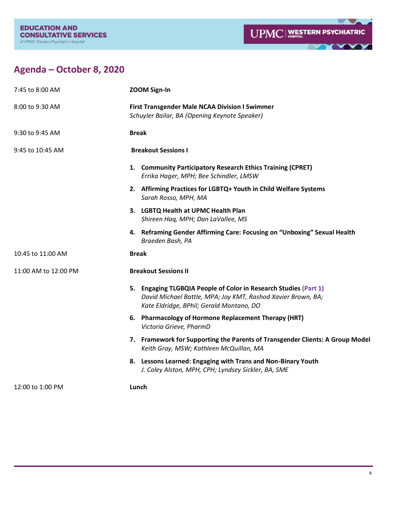



# **Agenda – October 8, 2020**

| 7:45 to 8:00 AM      | <b>ZOOM Sign-In</b>                                                                                                                                                          |
|----------------------|------------------------------------------------------------------------------------------------------------------------------------------------------------------------------|
| 8:00 to 9:30 AM      | <b>First Transgender Male NCAA Division I Swimmer</b><br>Schuyler Bailar, BA (Opening Keynote Speaker)                                                                       |
| 9:30 to 9:45 AM      | <b>Break</b>                                                                                                                                                                 |
| 9:45 to 10:45 AM     | <b>Breakout Sessions I</b>                                                                                                                                                   |
|                      | 1. Community Participatory Research Ethics Training (CPRET)<br>Errika Hager, MPH; Bee Schindler, LMSW                                                                        |
|                      | 2. Affirming Practices for LGBTQ+ Youth in Child Welfare Systems<br>Sarah Rosso, MPH, MA                                                                                     |
|                      | 3. LGBTQ Health at UPMC Health Plan<br>Shireen Haq, MPH; Dan LaVallee, MS                                                                                                    |
|                      | 4. Reframing Gender Affirming Care: Focusing on "Unboxing" Sexual Health<br>Braeden Bash, PA                                                                                 |
| 10:45 to 11:00 AM    | <b>Break</b>                                                                                                                                                                 |
| 11:00 AM to 12:00 PM | <b>Breakout Sessions II</b>                                                                                                                                                  |
|                      | 5. Engaging TLGBQIA People of Color in Research Studies (Part 1)<br>David Michael Battle, MPA; Joy KMT, Rashod Xavier Brown, BA;<br>Kate Eldridge, BPhil; Gerald Montano, DO |
|                      | 6. Pharmacology of Hormone Replacement Therapy (HRT)<br>Victoria Grieve, PharmD                                                                                              |
|                      | 7. Framework for Supporting the Parents of Transgender Clients: A Group Model<br>Keith Gray, MSW; Kathleen McQuillan, MA                                                     |
|                      | 8. Lessons Learned: Engaging with Trans and Non-Binary Youth<br>J. Coley Alston, MPH, CPH; Lyndsey Sickler, BA, SME                                                          |
| 12:00 to 1:00 PM     | Lunch                                                                                                                                                                        |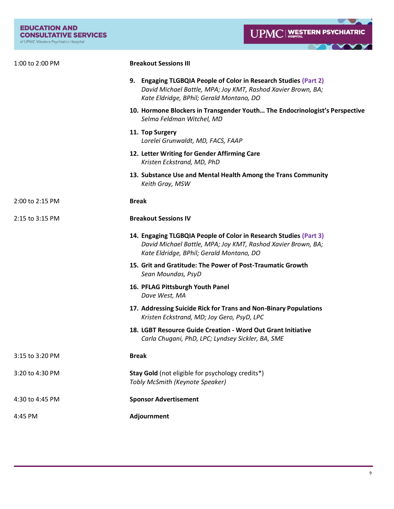**LAJA** 

Y

**TY** 

| 1:00 to 2:00 PM | <b>Breakout Sessions III</b>                                                                                                                                                  |
|-----------------|-------------------------------------------------------------------------------------------------------------------------------------------------------------------------------|
|                 | 9. Engaging TLGBQIA People of Color in Research Studies (Part 2)<br>David Michael Battle, MPA; Joy KMT, Rashod Xavier Brown, BA;<br>Kate Eldridge, BPhil; Gerald Montano, DO  |
|                 | 10. Hormone Blockers in Transgender Youth The Endocrinologist's Perspective<br>Selma Feldman Witchel, MD                                                                      |
|                 | 11. Top Surgery<br>Lorelei Grunwaldt, MD, FACS, FAAP                                                                                                                          |
|                 | 12. Letter Writing for Gender Affirming Care<br>Kristen Eckstrand, MD, PhD                                                                                                    |
|                 | 13. Substance Use and Mental Health Among the Trans Community<br>Keith Gray, MSW                                                                                              |
| 2:00 to 2:15 PM | <b>Break</b>                                                                                                                                                                  |
| 2:15 to 3:15 PM | <b>Breakout Sessions IV</b>                                                                                                                                                   |
|                 | 14. Engaging TLGBQIA People of Color in Research Studies (Part 3)<br>David Michael Battle, MPA; Joy KMT, Rashod Xavier Brown, BA;<br>Kate Eldridge, BPhil; Gerald Montano, DO |
|                 | 15. Grit and Gratitude: The Power of Post-Traumatic Growth<br>Sean Moundas, PsyD                                                                                              |
|                 | 16. PFLAG Pittsburgh Youth Panel<br>Dave West, MA                                                                                                                             |
|                 | 17. Addressing Suicide Rick for Trans and Non-Binary Populations<br>Kristen Eckstrand, MD; Joy Gero, PsyD, LPC                                                                |
|                 | 18. LGBT Resource Guide Creation - Word Out Grant Initiative<br>Carla Chugani, PhD, LPC; Lyndsey Sickler, BA, SME                                                             |
| 3:15 to 3:20 PM | <b>Break</b>                                                                                                                                                                  |
| 3:20 to 4:30 PM | Stay Gold (not eligible for psychology credits*)<br>Tobly McSmith (Keynote Speaker)                                                                                           |
| 4:30 to 4:45 PM | <b>Sponsor Advertisement</b>                                                                                                                                                  |
| 4:45 PM         | Adjournment                                                                                                                                                                   |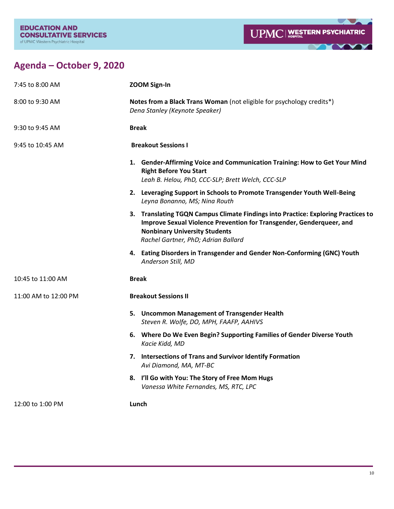

<u> Avenus </u>

# **Agenda – October 9, 2020**

| 7:45 to 8:00 AM      | <b>ZOOM Sign-In</b>                                                                                                                                                                                                                      |
|----------------------|------------------------------------------------------------------------------------------------------------------------------------------------------------------------------------------------------------------------------------------|
| 8:00 to 9:30 AM      | Notes from a Black Trans Woman (not eligible for psychology credits*)<br>Dena Stanley (Keynote Speaker)                                                                                                                                  |
| 9:30 to 9:45 AM      | <b>Break</b>                                                                                                                                                                                                                             |
| 9:45 to 10:45 AM     | <b>Breakout Sessions I</b>                                                                                                                                                                                                               |
|                      | 1. Gender-Affirming Voice and Communication Training: How to Get Your Mind<br><b>Right Before You Start</b><br>Leah B. Helou, PhD, CCC-SLP; Brett Welch, CCC-SLP                                                                         |
|                      | 2. Leveraging Support in Schools to Promote Transgender Youth Well-Being<br>Leyna Bonanno, MS; Nina Routh                                                                                                                                |
|                      | 3. Translating TGQN Campus Climate Findings into Practice: Exploring Practices to<br>Improve Sexual Violence Prevention for Transgender, Genderqueer, and<br><b>Nonbinary University Students</b><br>Rachel Gartner, PhD; Adrian Ballard |
|                      | 4. Eating Disorders in Transgender and Gender Non-Conforming (GNC) Youth<br>Anderson Still, MD                                                                                                                                           |
| 10:45 to 11:00 AM    | <b>Break</b>                                                                                                                                                                                                                             |
| 11:00 AM to 12:00 PM | <b>Breakout Sessions II</b>                                                                                                                                                                                                              |
|                      | 5. Uncommon Management of Transgender Health<br>Steven R. Wolfe, DO, MPH, FAAFP, AAHIVS                                                                                                                                                  |
|                      | 6. Where Do We Even Begin? Supporting Families of Gender Diverse Youth<br>Kacie Kidd, MD                                                                                                                                                 |
|                      | 7. Intersections of Trans and Survivor Identify Formation<br>Avi Diamond, MA, MT-BC                                                                                                                                                      |
|                      | I'll Go with You: The Story of Free Mom Hugs<br>8.<br>Vanessa White Fernandes, MS, RTC, LPC                                                                                                                                              |
| 12:00 to 1:00 PM     | Lunch                                                                                                                                                                                                                                    |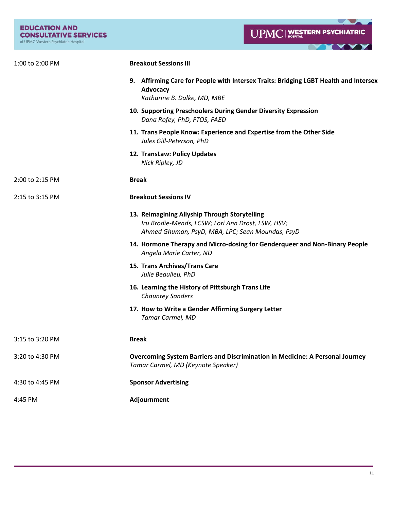**LAURE** 

▼

**TYPY** 

| 1:00 to 2:00 PM | <b>Breakout Sessions III</b>                                                                                                                           |
|-----------------|--------------------------------------------------------------------------------------------------------------------------------------------------------|
|                 | 9. Affirming Care for People with Intersex Traits: Bridging LGBT Health and Intersex<br>Advocacy<br>Katharine B. Dalke, MD, MBE                        |
|                 | 10. Supporting Preschoolers During Gender Diversity Expression<br>Dana Rofey, PhD, FTOS, FAED                                                          |
|                 | 11. Trans People Know: Experience and Expertise from the Other Side<br>Jules Gill-Peterson, PhD                                                        |
|                 | 12. TransLaw: Policy Updates<br>Nick Ripley, JD                                                                                                        |
| 2:00 to 2:15 PM | <b>Break</b>                                                                                                                                           |
| 2:15 to 3:15 PM | <b>Breakout Sessions IV</b>                                                                                                                            |
|                 | 13. Reimagining Allyship Through Storytelling<br>Iru Brodie-Mends, LCSW; Lori Ann Drost, LSW, HSV;<br>Ahmed Ghuman, PsyD, MBA, LPC; Sean Moundas, PsyD |
|                 | 14. Hormone Therapy and Micro-dosing for Genderqueer and Non-Binary People<br>Angela Marie Carter, ND                                                  |
|                 | 15. Trans Archives/Trans Care<br>Julie Beaulieu, PhD                                                                                                   |
|                 | 16. Learning the History of Pittsburgh Trans Life<br><b>Chauntey Sanders</b>                                                                           |
|                 | 17. How to Write a Gender Affirming Surgery Letter<br>Tamar Carmel, MD                                                                                 |
| 3:15 to 3:20 PM | <b>Break</b>                                                                                                                                           |
| 3:20 to 4:30 PM | <b>Overcoming System Barriers and Discrimination in Medicine: A Personal Journey</b><br>Tamar Carmel, MD (Keynote Speaker)                             |
| 4:30 to 4:45 PM | <b>Sponsor Advertising</b>                                                                                                                             |
| 4:45 PM         | Adjournment                                                                                                                                            |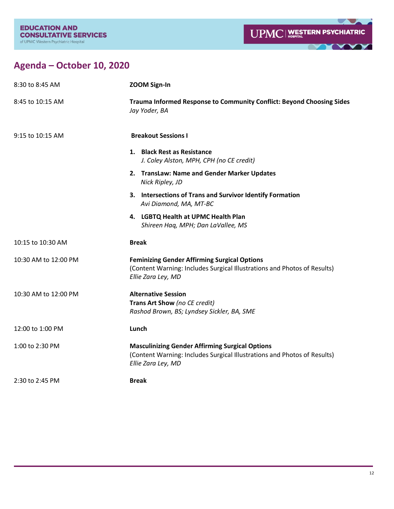

# **Agenda – October 10, 2020**

| 8:30 to 8:45 AM      | <b>ZOOM Sign-In</b>                                                                                                                                      |
|----------------------|----------------------------------------------------------------------------------------------------------------------------------------------------------|
| 8:45 to 10:15 AM     | Trauma Informed Response to Community Conflict: Beyond Choosing Sides<br>Jay Yoder, BA                                                                   |
| 9:15 to 10:15 AM     | <b>Breakout Sessions I</b>                                                                                                                               |
|                      | 1. Black Rest as Resistance<br>J. Coley Alston, MPH, CPH (no CE credit)                                                                                  |
|                      | 2. TransLaw: Name and Gender Marker Updates<br>Nick Ripley, JD                                                                                           |
|                      | 3. Intersections of Trans and Survivor Identify Formation<br>Avi Diamond, MA, MT-BC                                                                      |
|                      | 4. LGBTQ Health at UPMC Health Plan<br>Shireen Haq, MPH; Dan LaVallee, MS                                                                                |
| 10:15 to 10:30 AM    | <b>Break</b>                                                                                                                                             |
| 10:30 AM to 12:00 PM | <b>Feminizing Gender Affirming Surgical Options</b><br>(Content Warning: Includes Surgical Illustrations and Photos of Results)<br>Ellie Zara Ley, MD    |
| 10:30 AM to 12:00 PM | <b>Alternative Session</b><br>Trans Art Show (no CE credit)<br>Rashod Brown, BS; Lyndsey Sickler, BA, SME                                                |
| 12:00 to 1:00 PM     | Lunch                                                                                                                                                    |
| 1:00 to 2:30 PM      | <b>Masculinizing Gender Affirming Surgical Options</b><br>(Content Warning: Includes Surgical Illustrations and Photos of Results)<br>Ellie Zara Ley, MD |
| 2:30 to 2:45 PM      | <b>Break</b>                                                                                                                                             |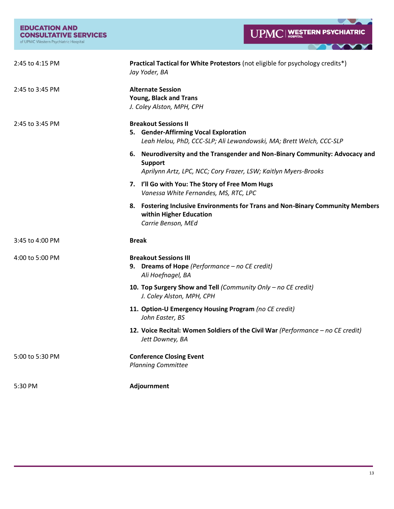| <b>EDUCATION AND</b>                 |
|--------------------------------------|
| <b>CONSULTATIVE SERVICES</b>         |
| of UPMC Western Psychiatric Hospital |

 $\sim$ N.

▼

 $\blacksquare$ 

| 2:45 to 4:15 PM | Practical Tactical for White Protestors (not eligible for psychology credits*)<br>Jay Yoder, BA                                                                   |
|-----------------|-------------------------------------------------------------------------------------------------------------------------------------------------------------------|
| 2:45 to 3:45 PM | <b>Alternate Session</b><br><b>Young, Black and Trans</b><br>J. Coley Alston, MPH, CPH                                                                            |
| 2:45 to 3:45 PM | <b>Breakout Sessions II</b><br>5. Gender-Affirming Vocal Exploration<br>Leah Helou, PhD, CCC-SLP; Ali Lewandowski, MA; Brett Welch, CCC-SLP                       |
|                 | 6. Neurodiversity and the Transgender and Non-Binary Community: Advocacy and<br><b>Support</b><br>Aprilynn Artz, LPC, NCC; Cory Frazer, LSW; Kaitlyn Myers-Brooks |
|                 | 7. I'll Go with You: The Story of Free Mom Hugs<br>Vanessa White Fernandes, MS, RTC, LPC                                                                          |
|                 | 8. Fostering Inclusive Environments for Trans and Non-Binary Community Members<br>within Higher Education<br>Carrie Benson, MEd                                   |
| 3:45 to 4:00 PM | <b>Break</b>                                                                                                                                                      |
| 4:00 to 5:00 PM | <b>Breakout Sessions III</b><br>9. Dreams of Hope (Performance $-$ no CE credit)<br>Ali Hoefnagel, BA                                                             |
|                 | 10. Top Surgery Show and Tell (Community Only - no CE credit)<br>J. Coley Alston, MPH, CPH                                                                        |
|                 | 11. Option-U Emergency Housing Program (no CE credit)<br>John Easter, BS                                                                                          |
|                 | 12. Voice Recital: Women Soldiers of the Civil War (Performance - no CE credit)<br>Jett Downey, BA                                                                |
| 5:00 to 5:30 PM | <b>Conference Closing Event</b><br><b>Planning Committee</b>                                                                                                      |
| 5:30 PM         | Adjournment                                                                                                                                                       |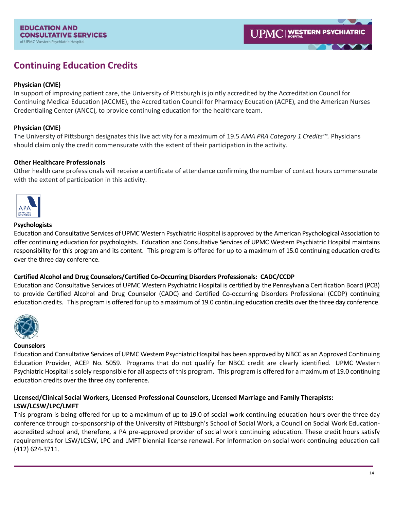# **Continuing Education Credits**

### **Physician (CME)**

In support of improving patient care, the University of Pittsburgh is jointly accredited by the Accreditation Council for Continuing Medical Education (ACCME), the Accreditation Council for Pharmacy Education (ACPE), and the American Nurses Credentialing Center (ANCC), to provide continuing education for the healthcare team.

### **Physician (CME)**

The University of Pittsburgh designates this live activity for a maximum of 19.5 *AMA PRA Category 1 Credits™.* Physicians should claim only the credit commensurate with the extent of their participation in the activity.

### **Other Healthcare Professionals**

Other health care professionals will receive a certificate of attendance confirming the number of contact hours commensurate with the extent of participation in this activity.



### **Psychologists**

Education and Consultative Services of UPMC Western Psychiatric Hospital is approved by the American Psychological Association to offer continuing education for psychologists. Education and Consultative Services of UPMC Western Psychiatric Hospital maintains responsibility for this program and its content. This program is offered for up to a maximum of 15.0 continuing education credits over the three day conference.

### **Certified Alcohol and Drug Counselors/Certified Co-Occurring Disorders Professionals: CADC/CCDP**

Education and Consultative Services of UPMC Western Psychiatric Hospital is certified by the Pennsylvania Certification Board (PCB) to provide Certified Alcohol and Drug Counselor (CADC) and Certified Co-occurring Disorders Professional (CCDP) continuing education credits. This program is offered for up to a maximum of 19.0 continuing education credits over the three day conference.



### **Counselors**

Education and Consultative Services of UPMC Western Psychiatric Hospital has been approved by NBCC as an Approved Continuing Education Provider, ACEP No. 5059. Programs that do not qualify for NBCC credit are clearly identified. UPMC Western Psychiatric Hospital is solely responsible for all aspects of this program. This program is offered for a maximum of 19.0 continuing education credits over the three day conference.

### **Licensed/Clinical Social Workers, Licensed Professional Counselors, Licensed Marriage and Family Therapists: LSW/LCSW/LPC/LMFT**

This program is being offered for up to a maximum of up to 19.0 of social work continuing education hours over the three day conference through co-sponsorship of the University of Pittsburgh's School of Social Work, a Council on Social Work Educationaccredited school and, therefore, a PA pre-approved provider of social work continuing education. These credit hours satisfy requirements for LSW/LCSW, LPC and LMFT biennial license renewal. For information on social work continuing education call (412) 624-3711.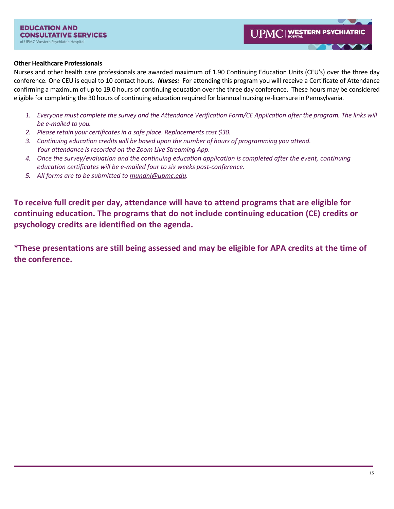### **Other Healthcare Professionals**

Nurses and other health care professionals are awarded maximum of 1.90 Continuing Education Units (CEU's) over the three day conference. One CEU is equal to 10 contact hours. *Nurses:* For attending this program you will receive a Certificate of Attendance confirming a maximum of up to 19.0 hours of continuing education over the three day conference. These hours may be considered eligible for completing the 30 hours of continuing education required for biannual nursing re-licensure in Pennsylvania.

- *1. Everyone must complete the survey and the Attendance Verification Form/CE Application after the program. The links will be e-mailed to you.*
- *2. Please retain your certificates in a safe place. Replacements cost \$30.*
- *3. Continuing education credits will be based upon the number of hours of programming you attend. Your attendance is recorded on the Zoom Live Streaming App.*
- *4. Once the survey/evaluation and the continuing education application is completed after the event, continuing education certificates will be e-mailed four to six weeks post-conference.*
- *5. All forms are to be submitted t[o mundnl@upmc.edu.](mailto:mundnl@upmc.edu)*

**To receive full credit per day, attendance will have to attend programs that are eligible for continuing education. The programs that do not include continuing education (CE) credits or psychology credits are identified on the agenda.** 

**\*These presentations are still being assessed and may be eligible for APA credits at the time of the conference.**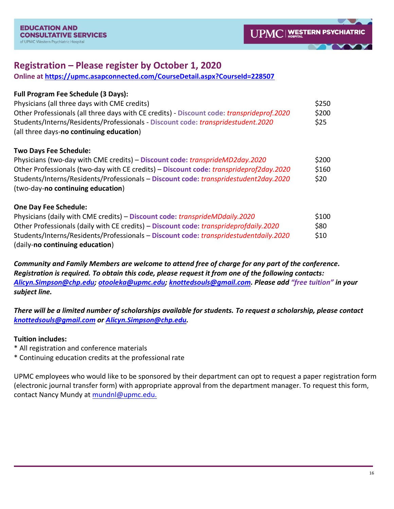# **Registration – Please register by October 1, 2020**

**Online at<https://upmc.asapconnected.com/CourseDetail.aspx?CourseId=228507>**

| <b>Full Program Fee Schedule (3 Days):</b>                                                |       |
|-------------------------------------------------------------------------------------------|-------|
| Physicians (all three days with CME credits)                                              | \$250 |
| Other Professionals (all three days with CE credits) - Discount code: transprideprof.2020 | \$200 |
| Students/Interns/Residents/Professionals - Discount code: transpridestudent.2020          | \$25  |
| (all three days-no continuing education)                                                  |       |
|                                                                                           |       |

## **Two Days Fee Schedule:**

| Physicians (two-day with CME credits) - Discount code: transprideMD2day.2020                  | \$200 |
|-----------------------------------------------------------------------------------------------|-------|
| Other Professionals (two-day with CE credits) – Discount code: <i>transprideprof2day.2020</i> | \$160 |
| Students/Interns/Residents/Professionals - Discount code: transpridestudent2day.2020          | \$20  |
| (two-day-no continuing education)                                                             |       |

## **One Day Fee Schedule:**

| Physicians (daily with CME credits) – Discount code: transprideMDdaily.2020                  | \$100 |
|----------------------------------------------------------------------------------------------|-------|
| Other Professionals (daily with CE credits) - Discount code: <i>transprideprofdaily.2020</i> | S80   |
| Students/Interns/Residents/Professionals - Discount code: transpridestudentdaily.2020        | \$10  |
| (daily-no continuing education)                                                              |       |

*Community and Family Members are welcome to attend free of charge for any part of the conference. Registration is required. To obtain this code, please request it from one of the following contacts: [Alicyn.Simpson@chp.edu;](mailto:Alicyn.Simpson@chp.edu) [otooleka@upmc.edu;](mailto:otooleka@upmc.edu) [knottedsouls@gmail.com.](mailto:knottedsouls@gmail.com) Please add "free tuition" in your subject line.* 

*There will be a limited number of scholarships available for students. To request a scholarship, please contact [knottedsouls@gmail.com](mailto:knottedsouls@gmail.com) or [Alicyn.Simpson@chp.edu.](mailto:Alicyn.Simpson@chp.edu)* 

## **Tuition includes:**

- \* All registration and conference materials
- \* Continuing education credits at the professional rate

UPMC employees who would [like to be sponsored by their department can opt to request a paper r](https://upmc.asapconnected.com/CourseDetail.aspx?CourseId=203045)egistration form (electronic journal transfer [form\) with appropriate approval from the department manager. To r](https://upmc.asapconnected.com/CourseDetail.aspx?CourseId=203045)equest this form, contact Nancy Mundy at mundnl@upmc.edu.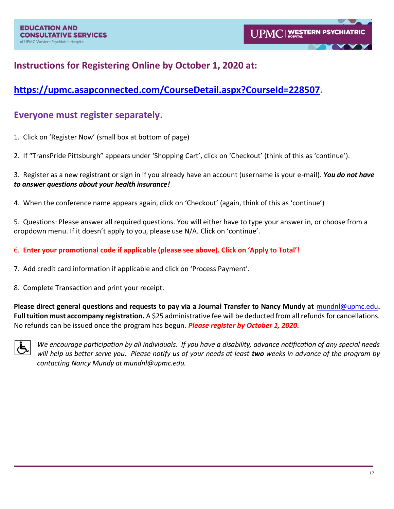# **Instructions for Registering Online by October 1, 2020 at:**

# **[https://upmc.asapconnected.com/CourseDetail.aspx?CourseId=228507.](https://upmc.asapconnected.com/CourseDetail.aspx?CourseId=228507)**

# **Everyone must register separately.**

- 1. Click on 'Register Now' (small box at bottom of page)
- 2. If "TransPride Pittsburgh" appears under 'Shopping Cart', click on 'Checkout' (think of this as 'continue').

3. Register as a new registrant or sign in if you already have an account (username is your e-mail). *You do not have to answer questions about your health insurance!*

4. When the conference name appears again, click on 'Checkout' (again, think of this as 'continue')

5. Questions: Please answer all required questions. You will either have to type your answer in, or choose from a dropdown menu. If it doesn't apply to you, please use N/A. Click on 'continue'.

6. **Enter your promotional code if applicable (please see above). Click on 'Apply to Total'!**

7. Add credit card information if applicable and click on 'Process Payment'.

8. Complete Transaction and print your receipt.

**Please direct general questions and requests to pay via a Journal Transfer to Nancy Mundy at** [mundnl@upmc.edu](mailto:mundnl@upmc.edu)**.**  Full tuition must accompany registration. A \$25 administrative fee will be deducted from all refunds for cancellations. No refunds can be issued once the program has begun. *Please register by October 1, 2020.* 



*We encourage participation by all individuals. If you have a disability, advance notification of any special needs will help us better serve you. Please notify us of your needs at least two weeks in advance of the program by contacting Nancy Mundy at mundnl@upmc.edu.*